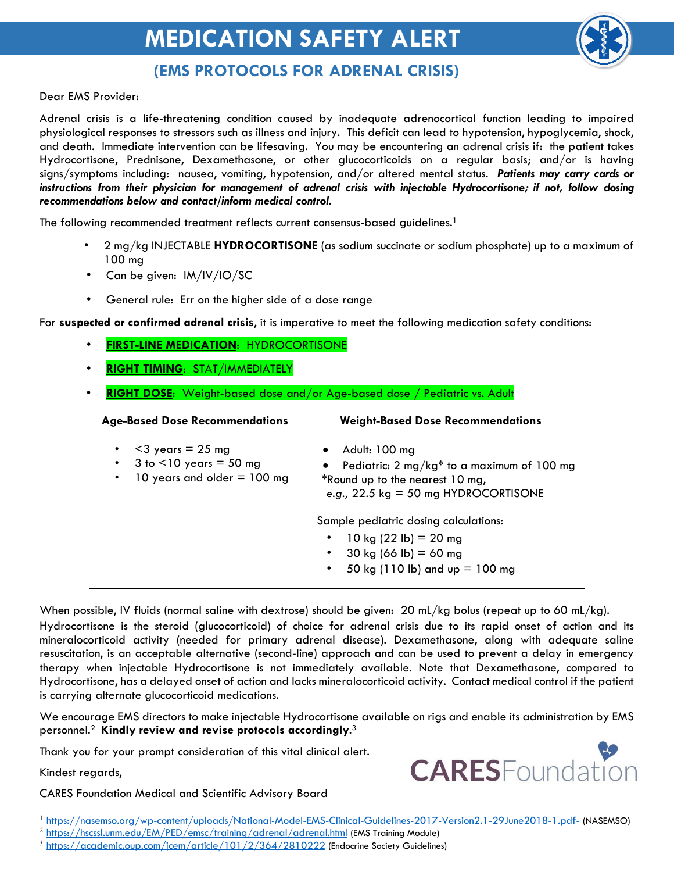

## **(EMS PROTOCOLS FOR ADRENAL CRISIS)**

Dear EMS Provider:

Adrenal crisis is a life-threatening condition caused by inadequate adrenocortical function leading to impaired physiological responses to stressors such as illness and injury. This deficit can lead to hypotension, hypoglycemia, shock, and death. Immediate intervention can be lifesaving. You may be encountering an adrenal crisis if: the patient takes Hydrocortisone, Prednisone, Dexamethasone, or other glucocorticoids on a regular basis; and/or is having signs/symptoms including: nausea, vomiting, hypotension, and/or altered mental status. *Patients may carry cards or instructions from their physician for management of adrenal crisis with injectable Hydrocortisone; if not, follow dosing recommendations below and contact/inform medical control.* 

The following recommended treatment reflects current consensus-based guidelines.<sup>1</sup>

- 2 mg/kg INJECTABLE **HYDROCORTISONE** (as sodium succinate or sodium phosphate) up to a maximum of 100 mg
- Can be given: IM/IV/IO/SC
- General rule: Err on the higher side of a dose range

For **suspected or confirmed adrenal crisis**, it is imperative to meet the following medication safety conditions:

- **FIRST-LINE MEDICATION: HYDROCORTISONE**
- **RIGHT TIMING**: STAT/IMMEDIATELY
- **RIGHT DOSE**: Weight-based dose and/or Age-based dose / Pediatric vs. Adult

| <b>Age-Based Dose Recommendations</b>                                                                       | <b>Weight-Based Dose Recommendations</b>                                                                                                                                                                                                                                                                                                                        |
|-------------------------------------------------------------------------------------------------------------|-----------------------------------------------------------------------------------------------------------------------------------------------------------------------------------------------------------------------------------------------------------------------------------------------------------------------------------------------------------------|
| $<$ 3 years = 25 mg<br>3 to $<$ 10 years = 50 mg<br>$\bullet$<br>10 years and older $=$ 100 mg<br>$\bullet$ | $\bullet$ Adult: 100 mg<br>• Pediatric: $2 \text{ mg/kg}^*$ to a maximum of 100 mg<br>*Round up to the nearest 10 mg,<br>e.g., 22.5 kg = 50 mg HYDROCORTISONE<br>Sample pediatric dosing calculations:<br>10 kg $(22 \text{ lb}) = 20 \text{ mg}$<br>$\bullet$<br>$30 \text{ kg}$ (66 lb) = 60 mg<br>$\bullet$<br>50 kg (110 lb) and up $=$ 100 mg<br>$\bullet$ |

When possible, IV fluids (normal saline with dextrose) should be given: 20 mL/kg bolus (repeat up to 60 mL/kg).

Hydrocortisone is the steroid (glucocorticoid) of choice for adrenal crisis due to its rapid onset of action and its mineralocorticoid activity (needed for primary adrenal disease). Dexamethasone, along with adequate saline resuscitation, is an acceptable alternative (second-line) approach and can be used to prevent a delay in emergency therapy when injectable Hydrocortisone is not immediately available. Note that Dexamethasone, compared to Hydrocortisone, has a delayed onset of action and lacks mineralocorticoid activity. Contact medical control if the patient is carrying alternate glucocorticoid medications.

We encourage EMS directors to make injectable Hydrocortisone available on rigs and enable its administration by EMS personnel.2 **Kindly review and revise protocols accordingly**. 3

Thank you for your prompt consideration of this vital clinical alert.

Kindest regards,

CARES Foundation Medical and Scientific Advisory Board



<sup>1</sup> https://nasemso.org/wp-content/uploads/National-Model-EMS-Clinical-Guidelines-2017-Version2.1-29June2018-1.pdf- (NASEMSO)

<sup>&</sup>lt;sup>2</sup> https://hscssl.unm.edu/EM/PED/emsc/training/adrenal/adrenal.html (EMS Training Module)

<sup>3</sup> https://academic.oup.com/jcem/article/101/2/364/2810222 (Endocrine Society Guidelines)